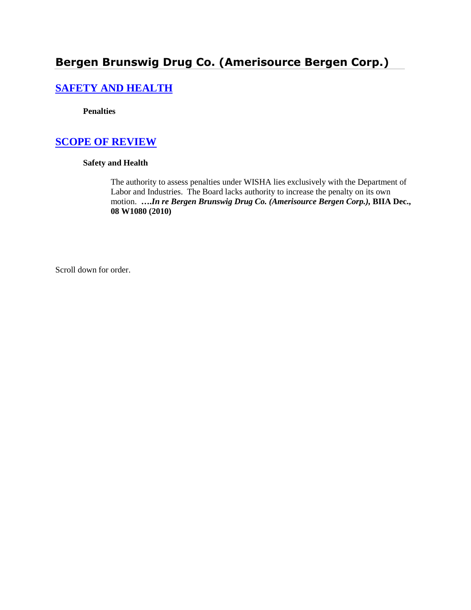# **Bergen Brunswig Drug Co. (Amerisource Bergen Corp.)**

# **[SAFETY AND HEALTH](http://www.biia.wa.gov/SDSubjectIndex.html#SAFETY_AND_HEALTH)**

**Penalties**

## **[SCOPE OF REVIEW](http://www.biia.wa.gov/SDSubjectIndex.html#SCOPE_OF_REVIEW)**

#### **Safety and Health**

The authority to assess penalties under WISHA lies exclusively with the Department of Labor and Industries. The Board lacks authority to increase the penalty on its own motion. **….***In re Bergen Brunswig Drug Co. (Amerisource Bergen Corp.),* **BIIA Dec., 08 W1080 (2010)**

Scroll down for order.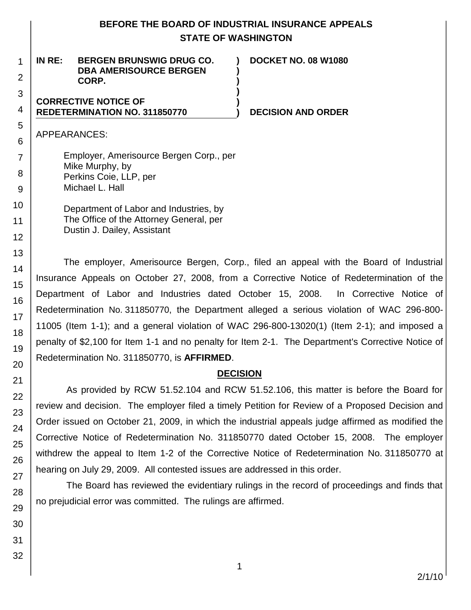|                          | BEFORE THE BOARD OF INDUSTRIAL INSURANCE APPEALS<br><b>STATE OF WASHINGTON</b>                                                                                                                                                                                                                                                                                                                                                                                       |  |  |
|--------------------------|----------------------------------------------------------------------------------------------------------------------------------------------------------------------------------------------------------------------------------------------------------------------------------------------------------------------------------------------------------------------------------------------------------------------------------------------------------------------|--|--|
| 1<br>$\overline{2}$      | IN RE:<br><b>DOCKET NO. 08 W1080</b><br><b>BERGEN BRUNSWIG DRUG CO.</b><br><b>DBA AMERISOURCE BERGEN</b><br>CORP.                                                                                                                                                                                                                                                                                                                                                    |  |  |
| 3<br>4                   | <b>CORRECTIVE NOTICE OF</b><br><b>REDETERMINATION NO. 311850770</b><br><b>DECISION AND ORDER</b>                                                                                                                                                                                                                                                                                                                                                                     |  |  |
| 5<br>6                   | APPEARANCES:                                                                                                                                                                                                                                                                                                                                                                                                                                                         |  |  |
| $\overline{7}$<br>8<br>9 | Employer, Amerisource Bergen Corp., per<br>Mike Murphy, by<br>Perkins Coie, LLP, per<br>Michael L. Hall                                                                                                                                                                                                                                                                                                                                                              |  |  |
| 10<br>11<br>12           | Department of Labor and Industries, by<br>The Office of the Attorney General, per<br>Dustin J. Dailey, Assistant                                                                                                                                                                                                                                                                                                                                                     |  |  |
| 13<br>14<br>15           | The employer, Amerisource Bergen, Corp., filed an appeal with the Board of Industrial<br>Insurance Appeals on October 27, 2008, from a Corrective Notice of Redetermination of the<br>Department of Labor and Industries dated October 15, 2008. In Corrective Notice of<br>Redetermination No. 311850770, the Department alleged a serious violation of WAC 296-800-<br>11005 (Item 1-1); and a general violation of WAC 296-800-13020(1) (Item 2-1); and imposed a |  |  |
| 16<br>17<br>18           |                                                                                                                                                                                                                                                                                                                                                                                                                                                                      |  |  |
| 19                       | penalty of \$2,100 for Item 1-1 and no penalty for Item 2-1. The Department's Corrective Notice of                                                                                                                                                                                                                                                                                                                                                                   |  |  |

### **DECISION**

Redetermination No. 311850770, is **AFFIRMED**.

As provided by RCW 51.52.104 and RCW 51.52.106, this matter is before the Board for review and decision. The employer filed a timely Petition for Review of a Proposed Decision and Order issued on October 21, 2009, in which the industrial appeals judge affirmed as modified the Corrective Notice of Redetermination No. 311850770 dated October 15, 2008. The employer withdrew the appeal to Item 1-2 of the Corrective Notice of Redetermination No. 311850770 at hearing on July 29, 2009. All contested issues are addressed in this order.

The Board has reviewed the evidentiary rulings in the record of proceedings and finds that no prejudicial error was committed. The rulings are affirmed.

2/1/10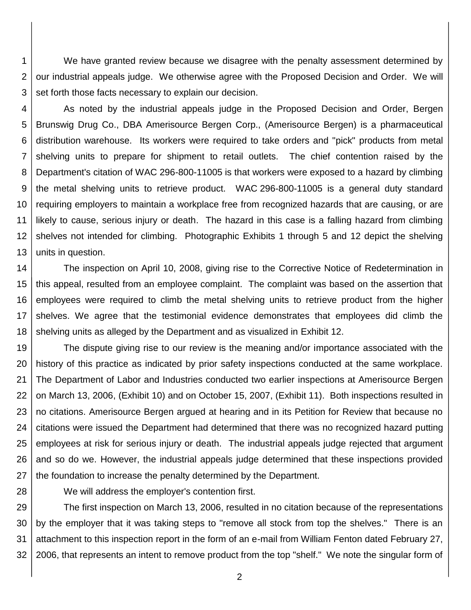1 2 We have granted review because we disagree with the penalty assessment determined by our industrial appeals judge. We otherwise agree with the Proposed Decision and Order. We will set forth those facts necessary to explain our decision.

3

4 5 6 7 8 9 10 11 12 13 As noted by the industrial appeals judge in the Proposed Decision and Order, Bergen Brunswig Drug Co., DBA Amerisource Bergen Corp., (Amerisource Bergen) is a pharmaceutical distribution warehouse. Its workers were required to take orders and "pick" products from metal shelving units to prepare for shipment to retail outlets. The chief contention raised by the Department's citation of WAC 296-800-11005 is that workers were exposed to a hazard by climbing the metal shelving units to retrieve product. WAC 296-800-11005 is a general duty standard requiring employers to maintain a workplace free from recognized hazards that are causing, or are likely to cause, serious injury or death. The hazard in this case is a falling hazard from climbing shelves not intended for climbing. Photographic Exhibits 1 through 5 and 12 depict the shelving units in question.

14 15 16 17 18 The inspection on April 10, 2008, giving rise to the Corrective Notice of Redetermination in this appeal, resulted from an employee complaint. The complaint was based on the assertion that employees were required to climb the metal shelving units to retrieve product from the higher shelves. We agree that the testimonial evidence demonstrates that employees did climb the shelving units as alleged by the Department and as visualized in Exhibit 12.

19 20 21 22 23 24 25 26 27 The dispute giving rise to our review is the meaning and/or importance associated with the history of this practice as indicated by prior safety inspections conducted at the same workplace. The Department of Labor and Industries conducted two earlier inspections at Amerisource Bergen on March 13, 2006, (Exhibit 10) and on October 15, 2007, (Exhibit 11). Both inspections resulted in no citations. Amerisource Bergen argued at hearing and in its Petition for Review that because no citations were issued the Department had determined that there was no recognized hazard putting employees at risk for serious injury or death. The industrial appeals judge rejected that argument and so do we. However, the industrial appeals judge determined that these inspections provided the foundation to increase the penalty determined by the Department.

28

We will address the employer's contention first.

29 30 31 32 The first inspection on March 13, 2006, resulted in no citation because of the representations by the employer that it was taking steps to "remove all stock from top the shelves." There is an attachment to this inspection report in the form of an e-mail from William Fenton dated February 27, 2006, that represents an intent to remove product from the top "shelf." We note the singular form of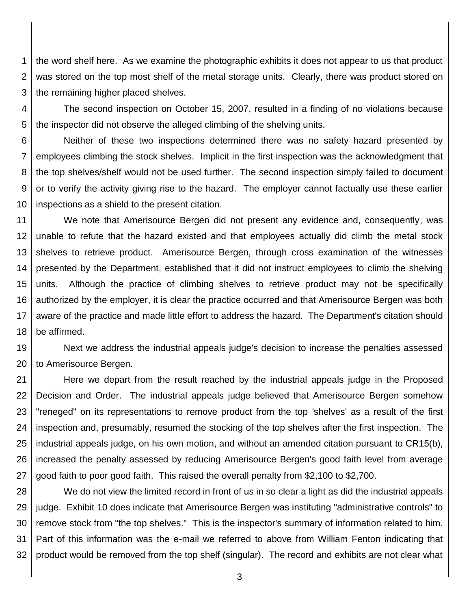1 2 3 the word shelf here. As we examine the photographic exhibits it does not appear to us that product was stored on the top most shelf of the metal storage units. Clearly, there was product stored on the remaining higher placed shelves.

4 5 The second inspection on October 15, 2007, resulted in a finding of no violations because the inspector did not observe the alleged climbing of the shelving units.

6 7 8 9 10 Neither of these two inspections determined there was no safety hazard presented by employees climbing the stock shelves. Implicit in the first inspection was the acknowledgment that the top shelves/shelf would not be used further. The second inspection simply failed to document or to verify the activity giving rise to the hazard. The employer cannot factually use these earlier inspections as a shield to the present citation.

11 12 13 14 15 16 17 18 We note that Amerisource Bergen did not present any evidence and, consequently, was unable to refute that the hazard existed and that employees actually did climb the metal stock shelves to retrieve product. Amerisource Bergen, through cross examination of the witnesses presented by the Department, established that it did not instruct employees to climb the shelving units. Although the practice of climbing shelves to retrieve product may not be specifically authorized by the employer, it is clear the practice occurred and that Amerisource Bergen was both aware of the practice and made little effort to address the hazard. The Department's citation should be affirmed.

19 20 Next we address the industrial appeals judge's decision to increase the penalties assessed to Amerisource Bergen.

21 22 23 24 25 26 27 Here we depart from the result reached by the industrial appeals judge in the Proposed Decision and Order. The industrial appeals judge believed that Amerisource Bergen somehow "reneged" on its representations to remove product from the top 'shelves' as a result of the first inspection and, presumably, resumed the stocking of the top shelves after the first inspection. The industrial appeals judge, on his own motion, and without an amended citation pursuant to CR15(b), increased the penalty assessed by reducing Amerisource Bergen's good faith level from average good faith to poor good faith. This raised the overall penalty from \$2,100 to \$2,700.

28 29 30 31 32 We do not view the limited record in front of us in so clear a light as did the industrial appeals judge. Exhibit 10 does indicate that Amerisource Bergen was instituting "administrative controls" to remove stock from "the top shelves." This is the inspector's summary of information related to him. Part of this information was the e-mail we referred to above from William Fenton indicating that product would be removed from the top shelf (singular). The record and exhibits are not clear what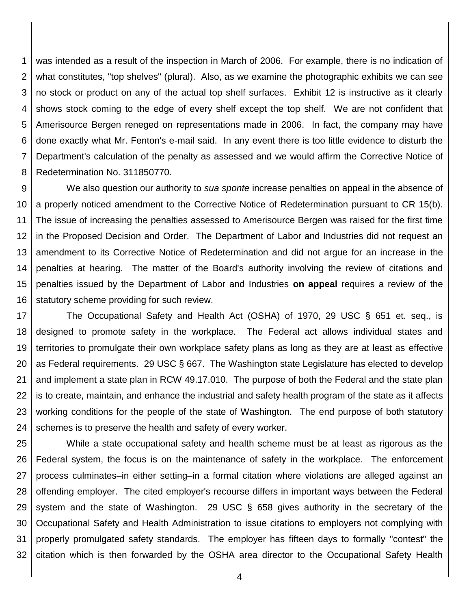1 2 3 4 5 6 7 8 was intended as a result of the inspection in March of 2006. For example, there is no indication of what constitutes, "top shelves" (plural). Also, as we examine the photographic exhibits we can see no stock or product on any of the actual top shelf surfaces. Exhibit 12 is instructive as it clearly shows stock coming to the edge of every shelf except the top shelf. We are not confident that Amerisource Bergen reneged on representations made in 2006. In fact, the company may have done exactly what Mr. Fenton's e-mail said. In any event there is too little evidence to disturb the Department's calculation of the penalty as assessed and we would affirm the Corrective Notice of Redetermination No. 311850770.

9 10 11 12 13 14 15 16 We also question our authority to *sua sponte* increase penalties on appeal in the absence of a properly noticed amendment to the Corrective Notice of Redetermination pursuant to CR 15(b). The issue of increasing the penalties assessed to Amerisource Bergen was raised for the first time in the Proposed Decision and Order. The Department of Labor and Industries did not request an amendment to its Corrective Notice of Redetermination and did not argue for an increase in the penalties at hearing. The matter of the Board's authority involving the review of citations and penalties issued by the Department of Labor and Industries **on appeal** requires a review of the statutory scheme providing for such review.

17 18 19 20 21 22 23 24 The Occupational Safety and Health Act (OSHA) of 1970, 29 USC § 651 et. seq., is designed to promote safety in the workplace. The Federal act allows individual states and territories to promulgate their own workplace safety plans as long as they are at least as effective as Federal requirements. 29 USC § 667. The Washington state Legislature has elected to develop and implement a state plan in RCW 49.17.010. The purpose of both the Federal and the state plan is to create, maintain, and enhance the industrial and safety health program of the state as it affects working conditions for the people of the state of Washington. The end purpose of both statutory schemes is to preserve the health and safety of every worker.

25 26 27 28 29 30 31 32 While a state occupational safety and health scheme must be at least as rigorous as the Federal system, the focus is on the maintenance of safety in the workplace. The enforcement process culminates–in either setting–in a formal citation where violations are alleged against an offending employer. The cited employer's recourse differs in important ways between the Federal system and the state of Washington. 29 USC § 658 gives authority in the secretary of the Occupational Safety and Health Administration to issue citations to employers not complying with properly promulgated safety standards. The employer has fifteen days to formally "contest" the citation which is then forwarded by the OSHA area director to the Occupational Safety Health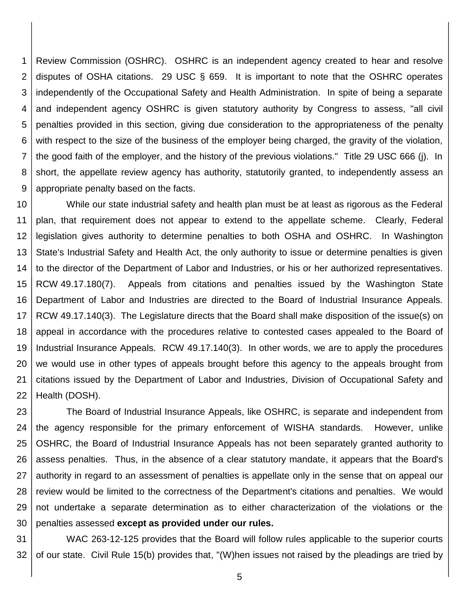1 2 3 4 5 6 7 8 9 Review Commission (OSHRC). OSHRC is an independent agency created to hear and resolve disputes of OSHA citations. 29 USC § 659. It is important to note that the OSHRC operates independently of the Occupational Safety and Health Administration. In spite of being a separate and independent agency OSHRC is given statutory authority by Congress to assess, "all civil penalties provided in this section, giving due consideration to the appropriateness of the penalty with respect to the size of the business of the employer being charged, the gravity of the violation, the good faith of the employer, and the history of the previous violations." Title 29 USC 666 (j). In short, the appellate review agency has authority, statutorily granted, to independently assess an appropriate penalty based on the facts.

10 11 12 13 14 15 16 17 18 19 20 21 22 While our state industrial safety and health plan must be at least as rigorous as the Federal plan, that requirement does not appear to extend to the appellate scheme. Clearly, Federal legislation gives authority to determine penalties to both OSHA and OSHRC. In Washington State's Industrial Safety and Health Act, the only authority to issue or determine penalties is given to the director of the Department of Labor and Industries, or his or her authorized representatives. RCW 49.17.180(7). Appeals from citations and penalties issued by the Washington State Department of Labor and Industries are directed to the Board of Industrial Insurance Appeals. RCW 49.17.140(3). The Legislature directs that the Board shall make disposition of the issue(s) on appeal in accordance with the procedures relative to contested cases appealed to the Board of Industrial Insurance Appeals. RCW 49.17.140(3). In other words, we are to apply the procedures we would use in other types of appeals brought before this agency to the appeals brought from citations issued by the Department of Labor and Industries, Division of Occupational Safety and Health (DOSH).

23 24 25 26 27 28 29 30 The Board of Industrial Insurance Appeals, like OSHRC, is separate and independent from the agency responsible for the primary enforcement of WISHA standards. However, unlike OSHRC, the Board of Industrial Insurance Appeals has not been separately granted authority to assess penalties. Thus, in the absence of a clear statutory mandate, it appears that the Board's authority in regard to an assessment of penalties is appellate only in the sense that on appeal our review would be limited to the correctness of the Department's citations and penalties. We would not undertake a separate determination as to either characterization of the violations or the penalties assessed **except as provided under our rules.**

31 32 WAC 263-12-125 provides that the Board will follow rules applicable to the superior courts of our state. Civil Rule 15(b) provides that, "(W)hen issues not raised by the pleadings are tried by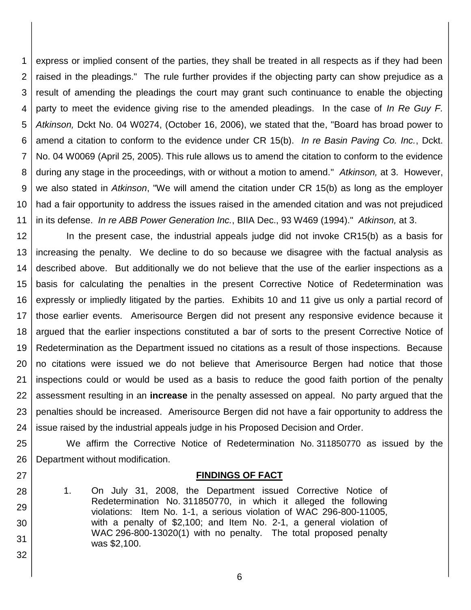1 2 3 4 5 6 7 8 9 10 11 express or implied consent of the parties, they shall be treated in all respects as if they had been raised in the pleadings." The rule further provides if the objecting party can show prejudice as a result of amending the pleadings the court may grant such continuance to enable the objecting party to meet the evidence giving rise to the amended pleadings. In the case of *In Re Guy F. Atkinson,* Dckt No. 04 W0274, (October 16, 2006), we stated that the, "Board has broad power to amend a citation to conform to the evidence under [CR 15\(b\).](https://www.lexis.com/research/buttonTFLink?_m=5a5dfdb0908d461761fcf84236d791a6&_xfercite=%3ccite%20cc%3d%22USA%22%3e%3c%21%5bCDATA%5b2006%20WA%20Wrk.%20Comp.%20LEXIS%20176%5d%5d%3e%3c%2fcite%3e&_butType=4&_butStat=0&_butNum=12&_butInline=1&_butinfo=WASH%20CR%2015&_fmtstr=FULL&docnum=2&_startdoc=1&wchp=dGLbVtz-zSkAb&_md5=9d1968bb52bbfdb20e6b6f9c54c8c858) *In re Basin Paving Co. Inc.*, Dckt. No. 04 W0069 (April 25, 2005). This rule allows us to amend the citation to conform to the evidence during any stage in the proceedings, with or without a motion to amend." *Atkinson,* at 3. However, we also stated in *Atkinson*, "We will amend the citation under [CR 15\(b\)](https://www.lexis.com/research/buttonTFLink?_m=5a5dfdb0908d461761fcf84236d791a6&_xfercite=%3ccite%20cc%3d%22USA%22%3e%3c%21%5bCDATA%5b2006%20WA%20Wrk.%20Comp.%20LEXIS%20176%5d%5d%3e%3c%2fcite%3e&_butType=4&_butStat=0&_butNum=13&_butInline=1&_butinfo=WASH%20CR%2015&_fmtstr=FULL&docnum=2&_startdoc=1&wchp=dGLbVtz-zSkAb&_md5=f6896d7f3fdeae8561ef81234af2a830) as long as the employer had a fair opportunity to address the issues raised in the amended citation and was not prejudiced in its defense. *In re ABB Power Generation Inc.*, BIIA Dec., 93 W469 (1994)." *Atkinson,* at 3.

12 13 14 15 16 17 18 19 20 21 22 23 24 In the present case, the industrial appeals judge did not invoke CR15(b) as a basis for increasing the penalty. We decline to do so because we disagree with the factual analysis as described above. But additionally we do not believe that the use of the earlier inspections as a basis for calculating the penalties in the present Corrective Notice of Redetermination was expressly or impliedly litigated by the parties. Exhibits 10 and 11 give us only a partial record of those earlier events. Amerisource Bergen did not present any responsive evidence because it argued that the earlier inspections constituted a bar of sorts to the present Corrective Notice of Redetermination as the Department issued no citations as a result of those inspections. Because no citations were issued we do not believe that Amerisource Bergen had notice that those inspections could or would be used as a basis to reduce the good faith portion of the penalty assessment resulting in an **increase** in the penalty assessed on appeal. No party argued that the penalties should be increased. Amerisource Bergen did not have a fair opportunity to address the issue raised by the industrial appeals judge in his Proposed Decision and Order.

25 26 We affirm the Corrective Notice of Redetermination No. 311850770 as issued by the Department without modification.

### **FINDINGS OF FACT**

1. On July 31, 2008, the Department issued Corrective Notice of Redetermination No. 311850770, in which it alleged the following violations: Item No. 1-1, a serious violation of WAC 296-800-11005, with a penalty of \$2,100; and Item No. 2-1, a general violation of WAC 296-800-13020(1) with no penalty. The total proposed penalty was \$2,100.

27

28

29

30

31

32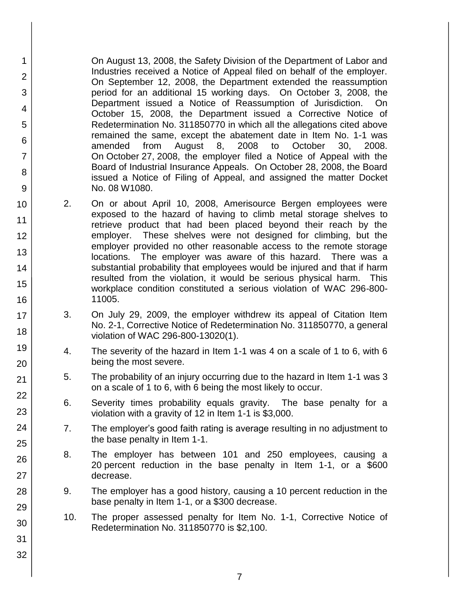On August 13, 2008, the Safety Division of the Department of Labor and Industries received a Notice of Appeal filed on behalf of the employer. On September 12, 2008, the Department extended the reassumption period for an additional 15 working days. On October 3, 2008, the Department issued a Notice of Reassumption of Jurisdiction. On October 15, 2008, the Department issued a Corrective Notice of Redetermination No. 311850770 in which all the allegations cited above remained the same, except the abatement date in Item No. 1-1 was amended from August 8, 2008 to October 30, 2008. On October 27, 2008, the employer filed a Notice of Appeal with the Board of Industrial Insurance Appeals. On October 28, 2008, the Board issued a Notice of Filing of Appeal, and assigned the matter Docket No. 08 W1080.

1

2

3

4

5

6

7

8

9

10

11

12

13

14

15

16

17 18

19

20

21

22

23

24

25

26

27

28

29

30

31

- 2. On or about April 10, 2008, Amerisource Bergen employees were exposed to the hazard of having to climb metal storage shelves to retrieve product that had been placed beyond their reach by the employer. These shelves were not designed for climbing, but the employer provided no other reasonable access to the remote storage locations. The employer was aware of this hazard. There was a substantial probability that employees would be injured and that if harm resulted from the violation, it would be serious physical harm. This workplace condition constituted a serious violation of WAC 296-800- 11005.
- 3. On July 29, 2009, the employer withdrew its appeal of Citation Item No. 2-1, Corrective Notice of Redetermination No. 311850770, a general violation of WAC 296-800-13020(1).
- 4. The severity of the hazard in Item 1-1 was 4 on a scale of 1 to 6, with 6 being the most severe.
- 5. The probability of an injury occurring due to the hazard in Item 1-1 was 3 on a scale of 1 to 6, with 6 being the most likely to occur.
- 6. Severity times probability equals gravity. The base penalty for a violation with a gravity of 12 in Item 1-1 is \$3,000.
- 7. The employer's good faith rating is average resulting in no adjustment to the base penalty in Item 1-1.
- 8. The employer has between 101 and 250 employees, causing a 20 percent reduction in the base penalty in Item 1-1, or a \$600 decrease.
- 9. The employer has a good history, causing a 10 percent reduction in the base penalty in Item 1-1, or a \$300 decrease.
- 10. The proper assessed penalty for Item No. 1-1, Corrective Notice of Redetermination No. 311850770 is \$2,100.
	- 7